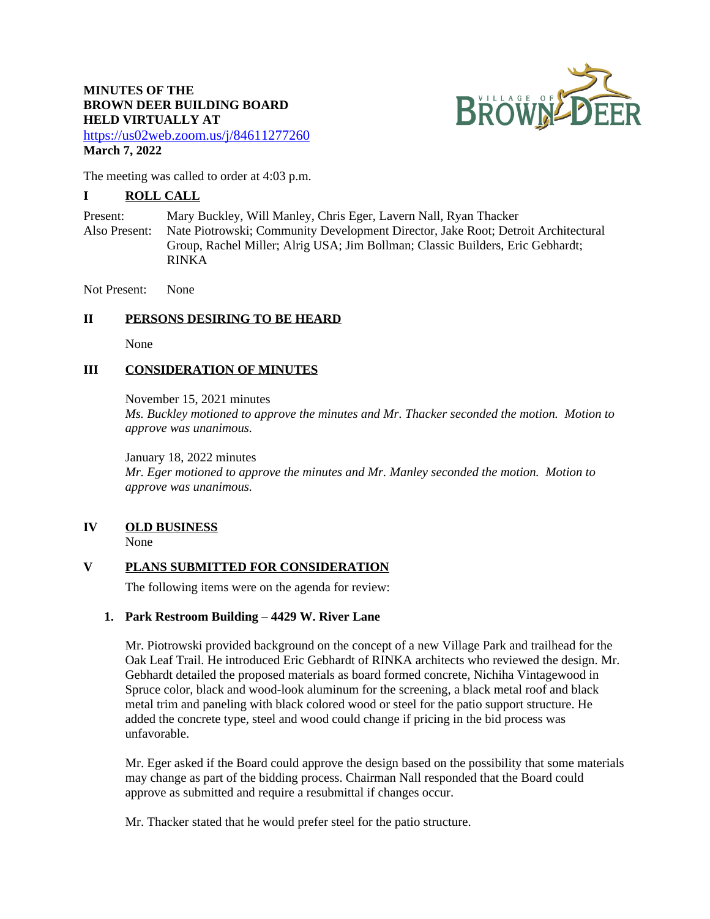## **MINUTES OF THE BROWN DEER BUILDING BOARD HELD VIRTUALLY AT**



<https://us02web.zoom.us/j/84611277260> **March 7, 2022**

The meeting was called to order at 4:03 p.m.

## **I ROLL CALL**

Present: Mary Buckley, Will Manley, Chris Eger, Lavern Nall, Ryan Thacker Also Present: Nate Piotrowski; Community Development Director, Jake Root; Detroit Architectural Group, Rachel Miller; Alrig USA; Jim Bollman; Classic Builders, Eric Gebhardt; RINKA

Not Present: None

## **II PERSONS DESIRING TO BE HEARD**

None

### **III CONSIDERATION OF MINUTES**

November 15, 2021 minutes

*Ms. Buckley motioned to approve the minutes and Mr. Thacker seconded the motion. Motion to approve was unanimous.*

January 18, 2022 minutes

*Mr. Eger motioned to approve the minutes and Mr. Manley seconded the motion. Motion to approve was unanimous.*

## **IV OLD BUSINESS**

None

### **V PLANS SUBMITTED FOR CONSIDERATION**

The following items were on the agenda for review:

### **1. Park Restroom Building – 4429 W. River Lane**

Mr. Piotrowski provided background on the concept of a new Village Park and trailhead for the Oak Leaf Trail. He introduced Eric Gebhardt of RINKA architects who reviewed the design. Mr. Gebhardt detailed the proposed materials as board formed concrete, Nichiha Vintagewood in Spruce color, black and wood-look aluminum for the screening, a black metal roof and black metal trim and paneling with black colored wood or steel for the patio support structure. He added the concrete type, steel and wood could change if pricing in the bid process was unfavorable.

Mr. Eger asked if the Board could approve the design based on the possibility that some materials may change as part of the bidding process. Chairman Nall responded that the Board could approve as submitted and require a resubmittal if changes occur.

Mr. Thacker stated that he would prefer steel for the patio structure.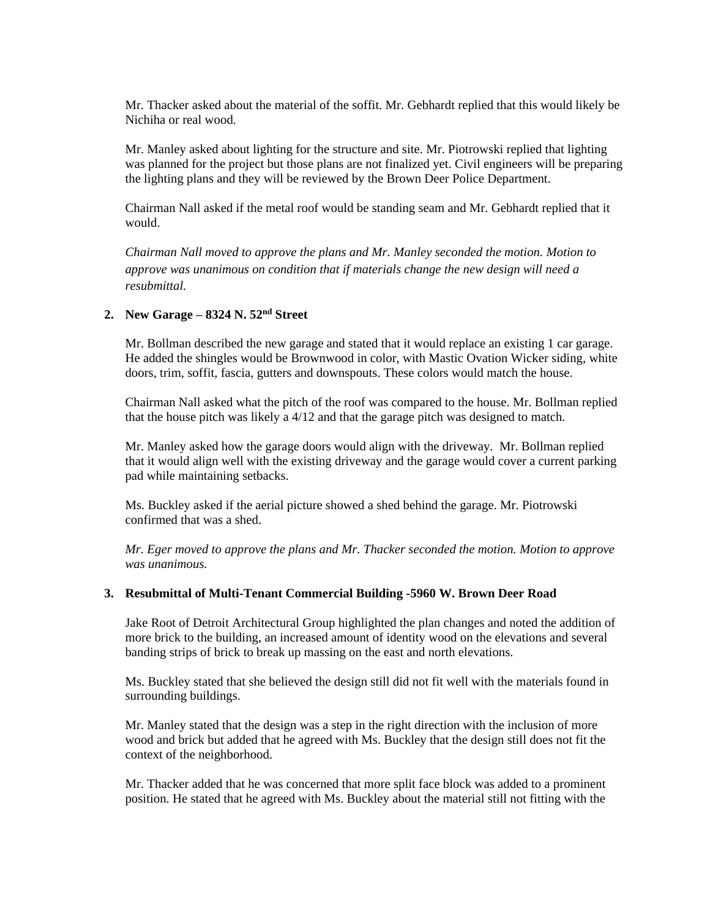Mr. Thacker asked about the material of the soffit. Mr. Gebhardt replied that this would likely be Nichiha or real wood.

Mr. Manley asked about lighting for the structure and site. Mr. Piotrowski replied that lighting was planned for the project but those plans are not finalized yet. Civil engineers will be preparing the lighting plans and they will be reviewed by the Brown Deer Police Department.

Chairman Nall asked if the metal roof would be standing seam and Mr. Gebhardt replied that it would.

*Chairman Nall moved to approve the plans and Mr. Manley seconded the motion. Motion to approve was unanimous on condition that if materials change the new design will need a resubmittal.*

#### **2. New Garage – 8324 N. 52nd Street**

Mr. Bollman described the new garage and stated that it would replace an existing 1 car garage. He added the shingles would be Brownwood in color, with Mastic Ovation Wicker siding, white doors, trim, soffit, fascia, gutters and downspouts. These colors would match the house.

Chairman Nall asked what the pitch of the roof was compared to the house. Mr. Bollman replied that the house pitch was likely a 4/12 and that the garage pitch was designed to match.

Mr. Manley asked how the garage doors would align with the driveway. Mr. Bollman replied that it would align well with the existing driveway and the garage would cover a current parking pad while maintaining setbacks.

Ms. Buckley asked if the aerial picture showed a shed behind the garage. Mr. Piotrowski confirmed that was a shed.

*Mr. Eger moved to approve the plans and Mr. Thacker seconded the motion. Motion to approve was unanimous.*

### **3. Resubmittal of Multi-Tenant Commercial Building -5960 W. Brown Deer Road**

Jake Root of Detroit Architectural Group highlighted the plan changes and noted the addition of more brick to the building, an increased amount of identity wood on the elevations and several banding strips of brick to break up massing on the east and north elevations.

Ms. Buckley stated that she believed the design still did not fit well with the materials found in surrounding buildings.

Mr. Manley stated that the design was a step in the right direction with the inclusion of more wood and brick but added that he agreed with Ms. Buckley that the design still does not fit the context of the neighborhood.

Mr. Thacker added that he was concerned that more split face block was added to a prominent position. He stated that he agreed with Ms. Buckley about the material still not fitting with the